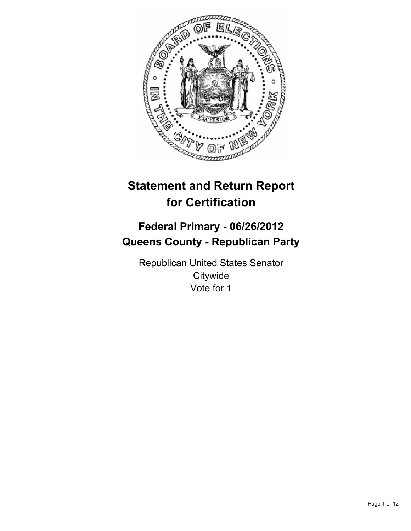

# **Statement and Return Report for Certification**

## **Federal Primary - 06/26/2012 Queens County - Republican Party**

Republican United States Senator **Citywide** Vote for 1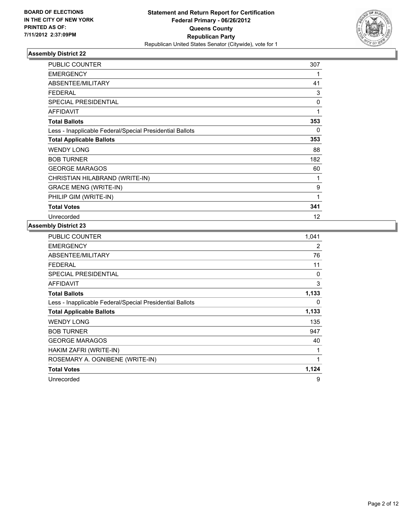

| <b>PUBLIC COUNTER</b>                                    | 307          |
|----------------------------------------------------------|--------------|
| <b>EMERGENCY</b>                                         | 1            |
| ABSENTEE/MILITARY                                        | 41           |
| <b>FEDERAL</b>                                           | 3            |
| <b>SPECIAL PRESIDENTIAL</b>                              | 0            |
| <b>AFFIDAVIT</b>                                         | $\mathbf{1}$ |
| <b>Total Ballots</b>                                     | 353          |
| Less - Inapplicable Federal/Special Presidential Ballots | 0            |
| <b>Total Applicable Ballots</b>                          | 353          |
| <b>WENDY LONG</b>                                        | 88           |
| <b>BOB TURNER</b>                                        | 182          |
| <b>GEORGE MARAGOS</b>                                    | 60           |
| CHRISTIAN HILABRAND (WRITE-IN)                           | 1            |
| <b>GRACE MENG (WRITE-IN)</b>                             | 9            |
| PHILIP GIM (WRITE-IN)                                    | 1            |
| <b>Total Votes</b>                                       | 341          |
| Unrecorded                                               | 12           |

| PUBLIC COUNTER                                           | 1,041 |
|----------------------------------------------------------|-------|
| EMERGENCY                                                | 2     |
| ABSENTEE/MILITARY                                        | 76    |
| <b>FEDERAL</b>                                           | 11    |
| <b>SPECIAL PRESIDENTIAL</b>                              | 0     |
| AFFIDAVIT                                                | 3     |
| <b>Total Ballots</b>                                     | 1,133 |
| Less - Inapplicable Federal/Special Presidential Ballots | 0     |
| <b>Total Applicable Ballots</b>                          | 1,133 |
| <b>WENDY LONG</b>                                        | 135   |
| <b>BOB TURNER</b>                                        | 947   |
| <b>GEORGE MARAGOS</b>                                    | 40    |
| HAKIM ZAFRI (WRITE-IN)                                   | 1     |
| ROSEMARY A. OGNIBENE (WRITE-IN)                          | 1     |
| <b>Total Votes</b>                                       | 1,124 |
| Unrecorded                                               | 9     |
|                                                          |       |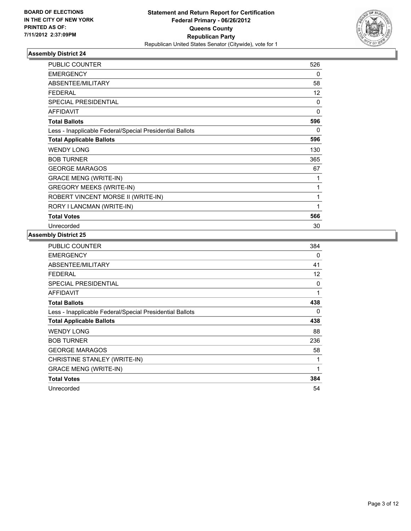

| <b>PUBLIC COUNTER</b>                                    | 526 |
|----------------------------------------------------------|-----|
| <b>EMERGENCY</b>                                         | 0   |
| ABSENTEE/MILITARY                                        | 58  |
| <b>FEDERAL</b>                                           | 12  |
| <b>SPECIAL PRESIDENTIAL</b>                              | 0   |
| <b>AFFIDAVIT</b>                                         | 0   |
| <b>Total Ballots</b>                                     | 596 |
| Less - Inapplicable Federal/Special Presidential Ballots | 0   |
| <b>Total Applicable Ballots</b>                          | 596 |
| <b>WENDY LONG</b>                                        | 130 |
| <b>BOB TURNER</b>                                        | 365 |
| <b>GEORGE MARAGOS</b>                                    | 67  |
| <b>GRACE MENG (WRITE-IN)</b>                             | 1   |
| <b>GREGORY MEEKS (WRITE-IN)</b>                          | 1   |
| ROBERT VINCENT MORSE II (WRITE-IN)                       | 1   |
| RORY I LANCMAN (WRITE-IN)                                | 1   |
| <b>Total Votes</b>                                       | 566 |
| Unrecorded                                               | 30  |

| <b>PUBLIC COUNTER</b>                                    | 384 |
|----------------------------------------------------------|-----|
| <b>EMERGENCY</b>                                         | 0   |
| ABSENTEE/MILITARY                                        | 41  |
| <b>FEDERAL</b>                                           | 12  |
| <b>SPECIAL PRESIDENTIAL</b>                              | 0   |
| <b>AFFIDAVIT</b>                                         | 1   |
| <b>Total Ballots</b>                                     | 438 |
| Less - Inapplicable Federal/Special Presidential Ballots | 0   |
| <b>Total Applicable Ballots</b>                          | 438 |
| <b>WENDY LONG</b>                                        | 88  |
| <b>BOB TURNER</b>                                        | 236 |
| <b>GEORGE MARAGOS</b>                                    | 58  |
| CHRISTINE STANLEY (WRITE-IN)                             | 1   |
| <b>GRACE MENG (WRITE-IN)</b>                             | 1   |
| <b>Total Votes</b>                                       | 384 |
| Unrecorded                                               | 54  |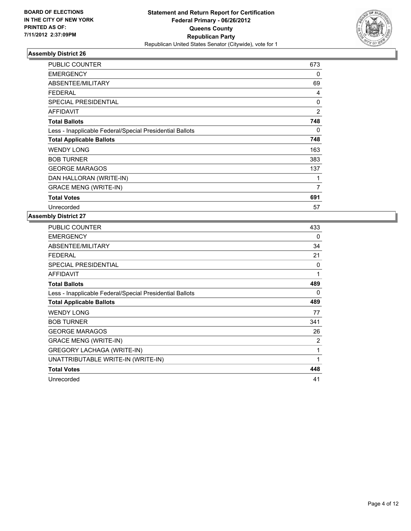

| <b>PUBLIC COUNTER</b>                                    | 673 |
|----------------------------------------------------------|-----|
| <b>EMERGENCY</b>                                         | 0   |
| ABSENTEE/MILITARY                                        | 69  |
| <b>FEDERAL</b>                                           | 4   |
| <b>SPECIAL PRESIDENTIAL</b>                              | 0   |
| AFFIDAVIT                                                | 2   |
| <b>Total Ballots</b>                                     | 748 |
| Less - Inapplicable Federal/Special Presidential Ballots | 0   |
| <b>Total Applicable Ballots</b>                          | 748 |
| <b>WENDY LONG</b>                                        | 163 |
| <b>BOB TURNER</b>                                        | 383 |
| <b>GEORGE MARAGOS</b>                                    | 137 |
| DAN HALLORAN (WRITE-IN)                                  | 1   |
| <b>GRACE MENG (WRITE-IN)</b>                             | 7   |
| <b>Total Votes</b>                                       | 691 |
| Unrecorded                                               | 57  |

| <b>PUBLIC COUNTER</b>                                    | 433 |
|----------------------------------------------------------|-----|
| <b>EMERGENCY</b>                                         | 0   |
| <b>ABSENTEE/MILITARY</b>                                 | 34  |
| <b>FEDERAL</b>                                           | 21  |
| <b>SPECIAL PRESIDENTIAL</b>                              | 0   |
| <b>AFFIDAVIT</b>                                         | 1   |
| <b>Total Ballots</b>                                     | 489 |
| Less - Inapplicable Federal/Special Presidential Ballots | 0   |
| <b>Total Applicable Ballots</b>                          | 489 |
| <b>WENDY LONG</b>                                        | 77  |
| <b>BOB TURNER</b>                                        | 341 |
| <b>GEORGE MARAGOS</b>                                    | 26  |
| <b>GRACE MENG (WRITE-IN)</b>                             | 2   |
| <b>GREGORY LACHAGA (WRITE-IN)</b>                        | 1   |
| UNATTRIBUTABLE WRITE-IN (WRITE-IN)                       | 1   |
| <b>Total Votes</b>                                       | 448 |
| Unrecorded                                               | 41  |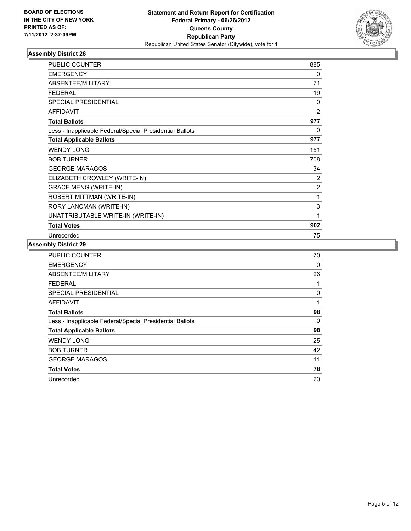

| <b>PUBLIC COUNTER</b>                                    | 885            |
|----------------------------------------------------------|----------------|
| <b>EMERGENCY</b>                                         | 0              |
| ABSENTEE/MILITARY                                        | 71             |
| <b>FEDERAL</b>                                           | 19             |
| SPECIAL PRESIDENTIAL                                     | 0              |
| <b>AFFIDAVIT</b>                                         | $\overline{2}$ |
| <b>Total Ballots</b>                                     | 977            |
| Less - Inapplicable Federal/Special Presidential Ballots | $\Omega$       |
| <b>Total Applicable Ballots</b>                          | 977            |
| <b>WENDY LONG</b>                                        | 151            |
| <b>BOB TURNER</b>                                        | 708            |
| <b>GEORGE MARAGOS</b>                                    | 34             |
| ELIZABETH CROWLEY (WRITE-IN)                             | 2              |
| <b>GRACE MENG (WRITE-IN)</b>                             | $\overline{2}$ |
| ROBERT MITTMAN (WRITE-IN)                                | 1              |
| RORY LANCMAN (WRITE-IN)                                  | 3              |
| UNATTRIBUTABLE WRITE-IN (WRITE-IN)                       | 1              |
| <b>Total Votes</b>                                       | 902            |
| Unrecorded                                               | 75             |

| <b>PUBLIC COUNTER</b>                                    | 70 |
|----------------------------------------------------------|----|
| <b>EMERGENCY</b>                                         | 0  |
| ABSENTEE/MILITARY                                        | 26 |
| <b>FEDERAL</b>                                           | 1  |
| <b>SPECIAL PRESIDENTIAL</b>                              | 0  |
| <b>AFFIDAVIT</b>                                         | 1  |
| <b>Total Ballots</b>                                     | 98 |
| Less - Inapplicable Federal/Special Presidential Ballots | 0  |
| <b>Total Applicable Ballots</b>                          | 98 |
| <b>WENDY LONG</b>                                        | 25 |
| <b>BOB TURNER</b>                                        | 42 |
| <b>GEORGE MARAGOS</b>                                    | 11 |
| <b>Total Votes</b>                                       | 78 |
| Unrecorded                                               | 20 |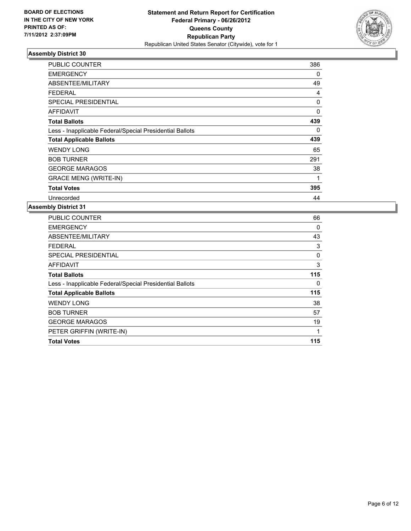

| <b>PUBLIC COUNTER</b>                                    | 386 |
|----------------------------------------------------------|-----|
| <b>EMERGENCY</b>                                         | 0   |
| ABSENTEE/MILITARY                                        | 49  |
| <b>FEDERAL</b>                                           | 4   |
| <b>SPECIAL PRESIDENTIAL</b>                              | 0   |
| AFFIDAVIT                                                | 0   |
| <b>Total Ballots</b>                                     | 439 |
| Less - Inapplicable Federal/Special Presidential Ballots | 0   |
| <b>Total Applicable Ballots</b>                          | 439 |
| <b>WENDY LONG</b>                                        | 65  |
| <b>BOB TURNER</b>                                        | 291 |
| <b>GEORGE MARAGOS</b>                                    | 38  |
| <b>GRACE MENG (WRITE-IN)</b>                             | 1   |
| <b>Total Votes</b>                                       | 395 |
| Unrecorded                                               | 44  |

| <b>PUBLIC COUNTER</b>                                    | 66  |
|----------------------------------------------------------|-----|
| <b>EMERGENCY</b>                                         | 0   |
| ABSENTEE/MILITARY                                        | 43  |
| FEDERAL                                                  | 3   |
| <b>SPECIAL PRESIDENTIAL</b>                              | 0   |
| <b>AFFIDAVIT</b>                                         | 3   |
| <b>Total Ballots</b>                                     | 115 |
| Less - Inapplicable Federal/Special Presidential Ballots | 0   |
| <b>Total Applicable Ballots</b>                          | 115 |
| <b>WENDY LONG</b>                                        | 38  |
| <b>BOB TURNER</b>                                        | 57  |
| <b>GEORGE MARAGOS</b>                                    | 19  |
| PETER GRIFFIN (WRITE-IN)                                 | 1   |
| <b>Total Votes</b>                                       | 115 |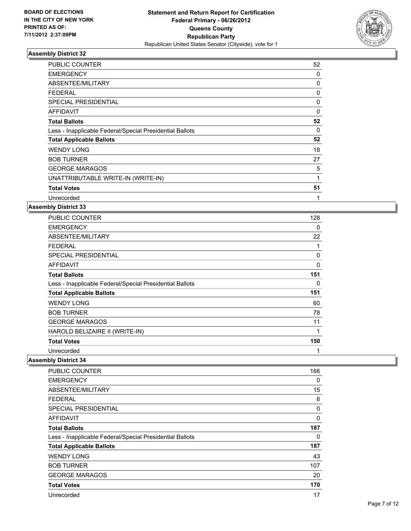

| <b>PUBLIC COUNTER</b>                                    | 52 |
|----------------------------------------------------------|----|
| <b>EMERGENCY</b>                                         | 0  |
| <b>ABSENTEE/MILITARY</b>                                 | 0  |
| <b>FEDERAL</b>                                           | 0  |
| <b>SPECIAL PRESIDENTIAL</b>                              | 0  |
| AFFIDAVIT                                                | 0  |
| <b>Total Ballots</b>                                     | 52 |
| Less - Inapplicable Federal/Special Presidential Ballots | 0  |
| <b>Total Applicable Ballots</b>                          | 52 |
| <b>WENDY LONG</b>                                        | 18 |
| <b>BOB TURNER</b>                                        | 27 |
| <b>GEORGE MARAGOS</b>                                    | 5  |
| UNATTRIBUTABLE WRITE-IN (WRITE-IN)                       | 1  |
| <b>Total Votes</b>                                       | 51 |
| Unrecorded                                               | 1  |

#### **Assembly District 33**

| <b>PUBLIC COUNTER</b>                                    | 128 |
|----------------------------------------------------------|-----|
| <b>EMERGENCY</b>                                         | 0   |
| ABSENTEE/MILITARY                                        | 22  |
| <b>FEDERAL</b>                                           | 1   |
| <b>SPECIAL PRESIDENTIAL</b>                              | 0   |
| AFFIDAVIT                                                | 0   |
| <b>Total Ballots</b>                                     | 151 |
| Less - Inapplicable Federal/Special Presidential Ballots | 0   |
| <b>Total Applicable Ballots</b>                          | 151 |
| <b>WENDY LONG</b>                                        | 60  |
| <b>BOB TURNER</b>                                        | 78  |
| <b>GEORGE MARAGOS</b>                                    | 11  |
| HAROLD BELIZAIRE II (WRITE-IN)                           | 1   |
| <b>Total Votes</b>                                       | 150 |
| Unrecorded                                               | 1   |

| PUBLIC COUNTER                                           | 166      |
|----------------------------------------------------------|----------|
| <b>EMERGENCY</b>                                         | 0        |
| ABSENTEE/MILITARY                                        | 15       |
| <b>FEDERAL</b>                                           | 6        |
| <b>SPECIAL PRESIDENTIAL</b>                              | $\Omega$ |
| AFFIDAVIT                                                | 0        |
| <b>Total Ballots</b>                                     | 187      |
| Less - Inapplicable Federal/Special Presidential Ballots | 0        |
| <b>Total Applicable Ballots</b>                          | 187      |
| <b>WENDY LONG</b>                                        | 43       |
| <b>BOB TURNER</b>                                        | 107      |
| <b>GEORGE MARAGOS</b>                                    | 20       |
| <b>Total Votes</b>                                       | 170      |
| Unrecorded                                               | 17       |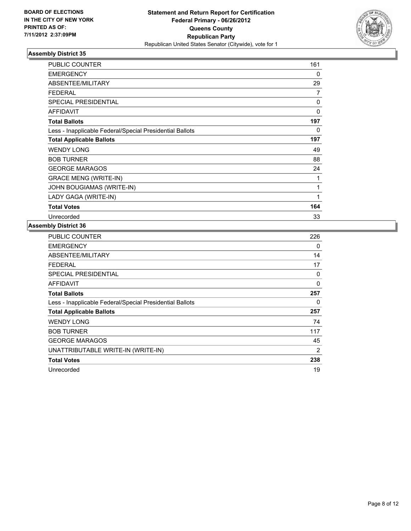

| <b>PUBLIC COUNTER</b>                                    | 161      |
|----------------------------------------------------------|----------|
| <b>EMERGENCY</b>                                         | 0        |
| ABSENTEE/MILITARY                                        | 29       |
| FEDERAL                                                  | 7        |
| <b>SPECIAL PRESIDENTIAL</b>                              | 0        |
| <b>AFFIDAVIT</b>                                         | $\Omega$ |
| <b>Total Ballots</b>                                     | 197      |
| Less - Inapplicable Federal/Special Presidential Ballots | 0        |
| <b>Total Applicable Ballots</b>                          | 197      |
| <b>WENDY LONG</b>                                        | 49       |
| <b>BOB TURNER</b>                                        | 88       |
| <b>GEORGE MARAGOS</b>                                    | 24       |
| <b>GRACE MENG (WRITE-IN)</b>                             | 1        |
| JOHN BOUGIAMAS (WRITE-IN)                                | 1        |
| LADY GAGA (WRITE-IN)                                     | 1        |
| <b>Total Votes</b>                                       | 164      |
| Unrecorded                                               | 33       |

| <b>PUBLIC COUNTER</b>                                    | 226 |
|----------------------------------------------------------|-----|
| <b>EMERGENCY</b>                                         | 0   |
| ABSENTEE/MILITARY                                        | 14  |
| FEDERAL                                                  | 17  |
| SPECIAL PRESIDENTIAL                                     | 0   |
| AFFIDAVIT                                                | 0   |
| <b>Total Ballots</b>                                     | 257 |
| Less - Inapplicable Federal/Special Presidential Ballots | 0   |
| <b>Total Applicable Ballots</b>                          | 257 |
| <b>WENDY LONG</b>                                        | 74  |
| <b>BOB TURNER</b>                                        | 117 |
| <b>GEORGE MARAGOS</b>                                    | 45  |
| UNATTRIBUTABLE WRITE-IN (WRITE-IN)                       | 2   |
| <b>Total Votes</b>                                       | 238 |
| Unrecorded                                               | 19  |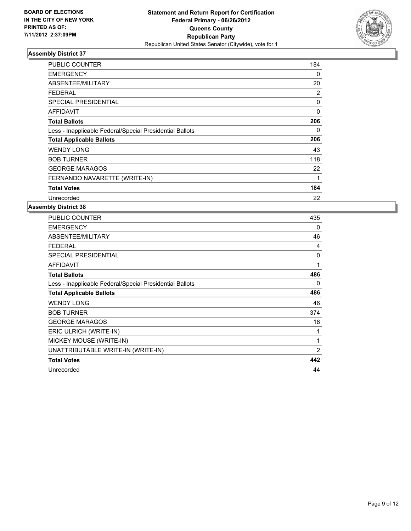

| <b>PUBLIC COUNTER</b>                                    | 184 |
|----------------------------------------------------------|-----|
| <b>EMERGENCY</b>                                         | 0   |
| ABSENTEE/MILITARY                                        | 20  |
| <b>FEDERAL</b>                                           | 2   |
| <b>SPECIAL PRESIDENTIAL</b>                              | 0   |
| <b>AFFIDAVIT</b>                                         | 0   |
| <b>Total Ballots</b>                                     | 206 |
| Less - Inapplicable Federal/Special Presidential Ballots | 0   |
| <b>Total Applicable Ballots</b>                          | 206 |
| <b>WENDY LONG</b>                                        | 43  |
| <b>BOB TURNER</b>                                        | 118 |
| <b>GEORGE MARAGOS</b>                                    | 22  |
| FERNANDO NAVARETTE (WRITE-IN)                            | 1   |
| <b>Total Votes</b>                                       | 184 |
| Unrecorded                                               | 22  |

| <b>PUBLIC COUNTER</b>                                    | 435            |
|----------------------------------------------------------|----------------|
| <b>EMERGENCY</b>                                         | 0              |
| ABSENTEE/MILITARY                                        | 46             |
| <b>FEDERAL</b>                                           | 4              |
| <b>SPECIAL PRESIDENTIAL</b>                              | 0              |
| <b>AFFIDAVIT</b>                                         | 1              |
| <b>Total Ballots</b>                                     | 486            |
| Less - Inapplicable Federal/Special Presidential Ballots | 0              |
| <b>Total Applicable Ballots</b>                          | 486            |
| <b>WENDY LONG</b>                                        | 46             |
| <b>BOB TURNER</b>                                        | 374            |
| <b>GEORGE MARAGOS</b>                                    | 18             |
| ERIC ULRICH (WRITE-IN)                                   | 1              |
| MICKEY MOUSE (WRITE-IN)                                  | 1              |
| UNATTRIBUTABLE WRITE-IN (WRITE-IN)                       | $\overline{2}$ |
| <b>Total Votes</b>                                       | 442            |
| Unrecorded                                               | 44             |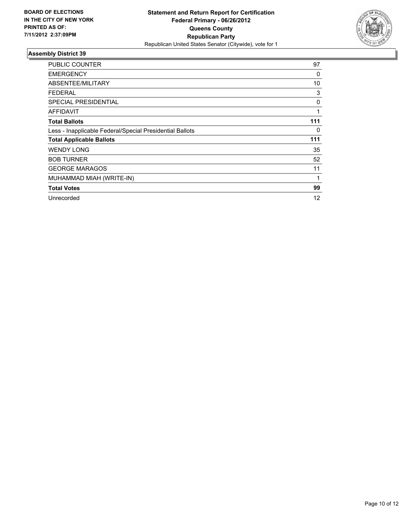

| <b>PUBLIC COUNTER</b>                                    | 97  |
|----------------------------------------------------------|-----|
| <b>EMERGENCY</b>                                         | 0   |
| ABSENTEE/MILITARY                                        | 10  |
| <b>FEDERAL</b>                                           | 3   |
| <b>SPECIAL PRESIDENTIAL</b>                              | 0   |
| <b>AFFIDAVIT</b>                                         | 1   |
| <b>Total Ballots</b>                                     | 111 |
| Less - Inapplicable Federal/Special Presidential Ballots | 0   |
| <b>Total Applicable Ballots</b>                          | 111 |
| <b>WENDY LONG</b>                                        | 35  |
| <b>BOB TURNER</b>                                        | 52  |
| <b>GEORGE MARAGOS</b>                                    | 11  |
| MUHAMMAD MIAH (WRITE-IN)                                 | 1   |
| <b>Total Votes</b>                                       | 99  |
| Unrecorded                                               | 12  |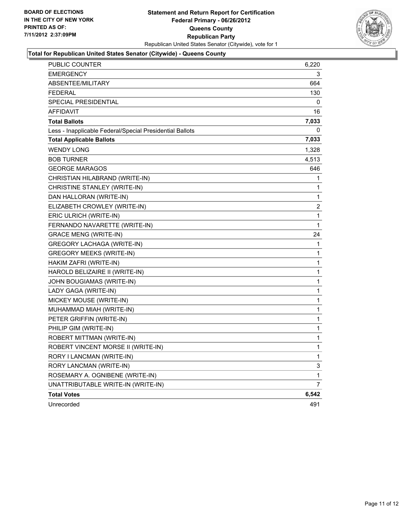

## **Total for Republican United States Senator (Citywide) - Queens County**

| PUBLIC COUNTER                                           | 6,220          |
|----------------------------------------------------------|----------------|
| <b>EMERGENCY</b>                                         | 3              |
| <b>ABSENTEE/MILITARY</b>                                 | 664            |
| <b>FEDERAL</b>                                           | 130            |
| SPECIAL PRESIDENTIAL                                     | 0              |
| <b>AFFIDAVIT</b>                                         | 16             |
| <b>Total Ballots</b>                                     | 7,033          |
| Less - Inapplicable Federal/Special Presidential Ballots | 0              |
| <b>Total Applicable Ballots</b>                          | 7,033          |
| <b>WENDY LONG</b>                                        | 1,328          |
| <b>BOB TURNER</b>                                        | 4,513          |
| <b>GEORGE MARAGOS</b>                                    | 646            |
| CHRISTIAN HILABRAND (WRITE-IN)                           | 1              |
| CHRISTINE STANLEY (WRITE-IN)                             | 1              |
| DAN HALLORAN (WRITE-IN)                                  | 1              |
| ELIZABETH CROWLEY (WRITE-IN)                             | $\overline{2}$ |
| ERIC ULRICH (WRITE-IN)                                   | 1              |
| FERNANDO NAVARETTE (WRITE-IN)                            | 1              |
| <b>GRACE MENG (WRITE-IN)</b>                             | 24             |
| <b>GREGORY LACHAGA (WRITE-IN)</b>                        | 1              |
| <b>GREGORY MEEKS (WRITE-IN)</b>                          | 1              |
| HAKIM ZAFRI (WRITE-IN)                                   | 1              |
| HAROLD BELIZAIRE II (WRITE-IN)                           | 1              |
| JOHN BOUGIAMAS (WRITE-IN)                                | 1              |
| LADY GAGA (WRITE-IN)                                     | 1              |
| MICKEY MOUSE (WRITE-IN)                                  | 1              |
| MUHAMMAD MIAH (WRITE-IN)                                 | 1              |
| PETER GRIFFIN (WRITE-IN)                                 | 1              |
| PHILIP GIM (WRITE-IN)                                    | 1              |
| ROBERT MITTMAN (WRITE-IN)                                | 1              |
| ROBERT VINCENT MORSE II (WRITE-IN)                       | 1              |
| RORY I LANCMAN (WRITE-IN)                                | 1              |
| RORY LANCMAN (WRITE-IN)                                  | 3              |
| ROSEMARY A. OGNIBENE (WRITE-IN)                          | 1              |
| UNATTRIBUTABLE WRITE-IN (WRITE-IN)                       | 7              |
| <b>Total Votes</b>                                       | 6,542          |
| Unrecorded                                               | 491            |